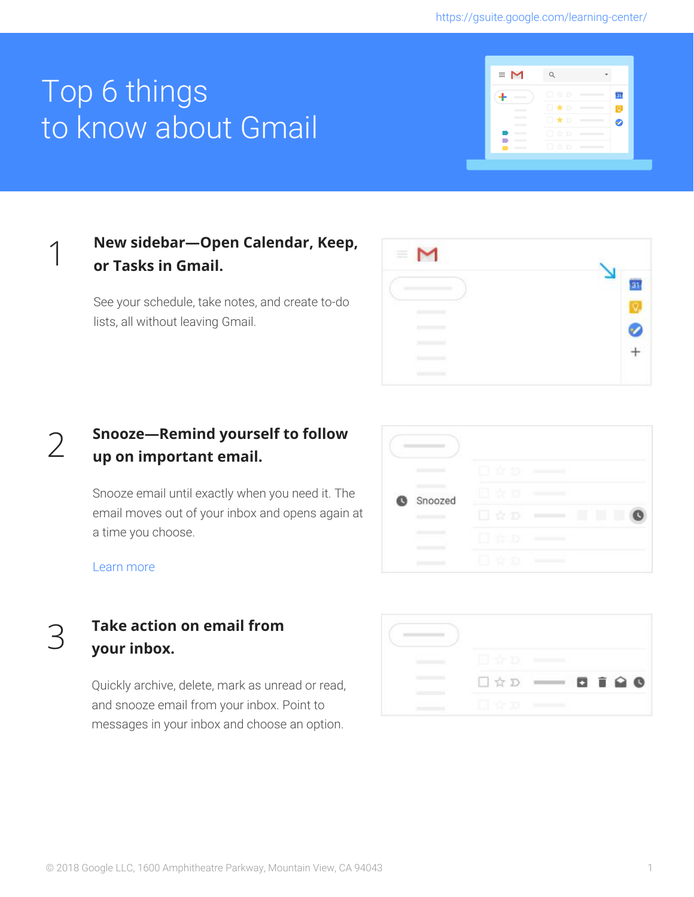# Top 6 things to know about Gmail



# **New sidebar—Open Calendar, Keep, or Tasks in Gmail.**

See your schedule, take notes, and create to-do lists, all without leaving Gmail.

| $\equiv$ |  |
|----------|--|
|          |  |
|          |  |
|          |  |
|          |  |
|          |  |

#### 2 **Snooze—Remind yourself to follow up on important email.**

Snooze email until exactly when you need it. The email moves out of your inbox and opens again at a time you choose.

|   |         | 17 D         |  |
|---|---------|--------------|--|
| Ø | Snoozed | -35          |  |
|   |         | 立口           |  |
|   |         | άĐ<br>$\sim$ |  |
|   |         | 153          |  |

[Learn](https://gsuite.google.com/learning-center/tips/gmail/#!/show-tip/snooze-email-or-reminders-until-you-need-them) more

1

### **Take action on email from your inbox.**

Quickly archive, delete, mark as unread or read, and snooze email from your inbox. Point to messages in your inbox and choose an option.

|   |  | 0190 |
|---|--|------|
| n |  |      |